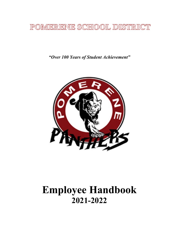## POMERENE SCHOOL DISTRICT

*"Over 100 Years of Student Achievement"*



# **Employee Handbook 2021-2022**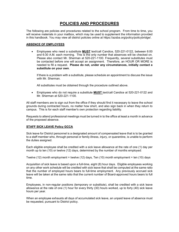## **POLICIES AND PROCEDURES**

The following are policies and procedures related to the school program. From time to time, you will receive materials in your mailbox, which may be used to supplement the information provided in this handbook. You may view all district policies online at https://azsba.org/policy/policybridge/.

#### **ABSENCE OF EMPLOYEES**

• Employees who need a substitute **MUST** text/call Candice, 520-221-0122, between 6:00 and 6:30 A.M. each morning. This is the only number that absences will be checked on. Please also contact Mr. Sherman at 520-221-1100. Frequently, several substitutes must be contacted before one will accept an assignment. Therefore, an HOUR OR MORE is needed to fill a request. **Please do not, under any circumstances, initially contact a substitute on your own**.

If there is a problem with a substitute, please schedule an appointment to discuss the issue with Mr. Sherman.

All substitutes must be obtained through the procedure outlined above.

• Employees who do not require a substitute **MUST** text/call Candice at 520-221-0122 and Mr. Sherman at 520-221-1100.

All staff members are to sign out from the office if they should find it necessary to leave the school grounds during contracted hours, no matter how short, and also sign back in when they return to campus. This is for each staff member's own protection regarding liability.

Requests to attend professional meetings must be turned in to the office at least a month in advance of the proposed absence.

#### **STAFF SICK LEAVE Policy GCCA**

Sick leave for District personnel is a designated amount of compensated leave that is to be granted to a staff member who, through personal or family illness, injury, or quarantine, is unable to perform the duties assigned.

Each eligible employee shall be credited with a sick leave allowance at the rate of one (1) day per month up to ten (10) or twelve (12) days, determined by the number of months employed:

Twelve (12) month employment = twelve (12) days, Ten (10) month employment = ten (10) days

Acquisition of sick leave is based upon a full-time, eight (8) hour days. Eligible employees working on any other work schedule will be credited with sick leave that shall be computed at the same ratio that the number of employed hours bears to full-time employment. Any previously accrued sick leave will be taken at the same ratio that the current number of Board-approved hours bears to full time.

Employees, in non-regular positions (temporary or substitute), shall be credited with a sick leave allowance at the rate of one (1) hour for every thirty (30) hours worked, up to forty (40) sick leave hours per year.

When an employee exhausts all days of accumulated sick leave, an unpaid leave of absence must be requested, pursuant to District policy.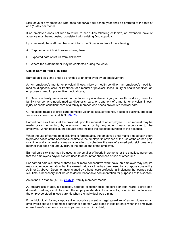Sick leave of any employee who does not serve a full school year shall be prorated at the rate of one (1) day per month.

If an employee does not wish to return to her duties following childbirth, an extended leave of absence must be requested, consistent with existing District policy.

Upon request, the staff member shall inform the Superintendent of the following:

- A. Purpose for which sick leave is being taken.
- B. Expected date of return from sick leave.
- C. Where the staff member may be contacted during the leave.

#### **Use of Earned Paid Sick Time**

Earned paid sick time shall be provided to an employee by an employer for:

A. An employee's mental or physical illness, injury or health condition; an employee's need for medical diagnosis, care, or treatment of a mental or physical illness, injury or health condition; an employee's need for preventive medical care;

B. Care of a family member with a mental or physical illness, injury or health condition; care of a family member who needs medical diagnosis, care, or treatment of a mental or physical illness, injury or health condition; care of a family member who needs preventive medical care;

C. Reasons related to child care, domestic violence, sexual violence, abuse or stalking, and legal services as described in A.R.S. [23-373.](http://www.azleg.gov/FormatDocument.asp?inDoc=/ars/23/00373.htm&Title=23&DocType=ARS)

Earned paid sick time shall be provided upon the request of an employee. Such request may be made orally, in writing, by electronic means or by any other means acceptable to the employer. When possible, the request shall include the expected duration of the absence.

When the use of earned paid sick time is foreseeable, the employee shall make a good faith effort to provide notice of the need for such time to the employer in advance of the use of the earned paid sick time and shall make a reasonable effort to schedule the use of earned paid sick time in a manner that does not unduly disrupt the operations of the employer.

Earned paid sick time may be used in the smaller of hourly increments or the smallest increment that the employer's payroll system uses to account for absences or use of other time.

For earned paid sick time of three (3) or more consecutive work days, an employer may require reasonable documentation that the earned paid sick time has been used for a purpose covered by A, B, or C, above. Documentation signed by a heath care professional indicating that earned paid sick time is necessary shall be considered reasonable documentation for purposes of this section

As defined in statute (**A.R.S. [23-371](http://www.azleg.gov/FormatDocument.asp?inDoc=/ars/23/00371.htm&Title=23&DocType=ARS)**), "family member" means:

A. Regardless of age, a biological, adopted or foster child, stepchild or legal ward, a child of a domestic partner, a child to whom the employee stands in loco parentis, or an individual to whom the employee stood in loco parentis when the individual was a minor;

B. A biological, foster, stepparent or adoptive parent or legal guardian of an employee or an employee's spouse or domestic partner or a person who stood in loco parentis when the employee or employee's spouse or domestic partner was a minor child;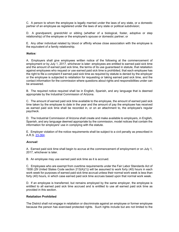C. A person to whom the employee is legally married under the laws of any state, or a domestic partner of an employee as registered under the laws of any state or political subdivision;

D. A grandparent, grandchild or sibling (whether of a biological, foster, adoptive or step relationship) of the employee or the employee's spouse or domestic partner; or

E. Any other individual related by blood or affinity whose close association with the employee is the equivalent of a family relationship.

#### *Notice:*

A. Employers shall give employees written notice of the following at the commencement of employment or by July 1, 2017, whichever is later: employees are entitled to earned paid sick time and the amount of earned paid sick time, the terms of its use guaranteed in statute, that retaliation against employees who request or use earned paid sick time is prohibited, that each employee has the right to file a complaint if earned paid sick time as required by statute is denied by the employer or the employee is subjected to retaliation for requesting or taking earned paid sick time, and the contact information for the commission where questions about rights and responsibilities under can be answered.

B. The required notice required shall be in English, Spanish, and any language that is deemed appropriate by the Industrial Commission of Arizona.

C. The amount of earned paid sick time available to the employee, the amount of earned paid sick time taken by the employee to date in the year and the amount of pay the employee has received as earned paid sick time shall be recorded in, or on an attachment to, the employee's regular paycheck.

D. The Industrial Commission of Arizona shall create and make available to employers, in English, Spanish, and any language deemed appropriate by the commission, model notices that contain the information for employers' use in complying with the statute.

E. Employer violation of the notice requirements shall be subject to a civil penalty as prescribed in A.R.S. [23-364.](http://www.azleg.gov/FormatDocument.asp?inDoc=/ars/23/00364.htm&Title=23&DocType=ARS)

#### *Accrual:*

A. Earned paid sick time shall begin to accrue at the commencement of employment or on July 1, 2017, whichever is later.

B. An employee may use earned paid sick time as it is accrued.

C. Employees who are exempt from overtime requirements under the Fair Labor Standards Act of 1938 (29 United States Code section 213(A)(1)) will be assumed to work forty (40) hours in each work week for purposes of earned paid sick time accrual unless their normal work week is less than forty (40) hours, in which case earned paid sick time accrues based upon that normal work week.

D. If an employee is transferred, but remains employed by the same employer, the employee is entitled to all earned paid sick time accrued and is entitled to use all earned paid sick time as provided in this section.

#### **Retaliation Prohibited**

The District shall not engage in retaliation or discriminate against an employee or former employee because the person has exercised protected rights. Such rights include but are not limited to the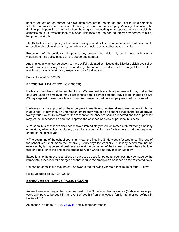right to request or use earned paid sick time pursuant to the statute; the right to file a complaint with the commission or courts or inform any person about any employer's alleged violation; the right to participate in an investigation, hearing or proceeding or cooperate with or assist the commission in its investigations of alleged violations and the right to inform any person of his or her potential rights.

The District sick leave policy will not count using earned sick leave as an absence that may lead to or result in discipline, discharge, demotion, suspension, or any other adverse action.

Protections of this section shall apply to any person who mistakenly but in good faith alleges violations of this policy based on the supporting statutes.

Any employee who can be shown to have willfully violated or misused the District's sick leave policy or who has intentionally misrepresented any statement or condition will be subject to discipline, which may include reprimand, suspension, and/or dismissal.

Policy Updated 5/11/2020

#### **PERSONAL LEAVE (POLICY GCCB)**

Each staff member shall be entitled to two (2) personal leave days per year with pay. After the days are used an employee may elect to take a third day of personal leave to be charged as two (2) days against unused sick leave. Personal Leave for part time employees shall be prorated.

The leave must be approved by the employee's immediate supervisor at least twenty-four (24) hours in advance. If, however, an unforeseen emergency requires an absence that cannot be approved twenty-four (24) hours in advance, the reason for the absence shall be reported and the supervisor may, at the supervisor's discretion, approve the absence as a day of personal business.

● Personal business leave shall not be taken immediately before or immediately following a holiday or weekday when school is closed, on an in-service training day for teachers, or at the beginning or end of the school year.

• The beginning of the school year shall mean the first five (5) duty days for teachers. The end of the school year shall mean the last five (5) duty days for teachers. A holiday period may not be extended by taking personal business leave at the beginning of the following week when a holiday falls on Friday or at the end of the preceding week when a holiday falls on Monday.

Exceptions to the above restrictions on days to be used for personal business may be made by the immediate supervisor for emergencies that require the employee's absence on the restricted days.

Unused personal leave may be carried over to the following year to a maximum of four (4) days.

Policy Updated policy 12/14/2020

#### **BEREAVEMENT LEAVE (POLICY GCCH)**

An employee may be granted, upon request to the Superintendent, up to five (5) days of leave per year, with pay, to be used in the event of death of an employee's family member as defined in Policy GCCA.

As defined in statute (**A.R.S. [23-371](http://www.azleg.gov/FormatDocument.asp?inDoc=/ars/23/00371.htm&Title=23&DocType=ARS)**), "family member" means: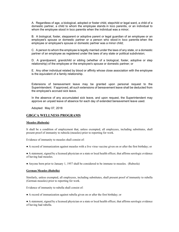A. Regardless of age, a biological, adopted or foster child, stepchild or legal ward, a child of a domestic partner, a child to whom the employee stands in loco parentis, or an individual to whom the employee stood in loco parentis when the individual was a minor;

B. A biological, foster, stepparent or adoptive parent or legal guardian of an employee or an employee's spouse or domestic partner or a person who stood in loco parentis when the employee or employee's spouse or domestic partner was a minor child;

C. A person to whom the employee is legally married under the laws of any state, or a domestic partner of an employee as registered under the laws of any state or political subdivision;

D. A grandparent, grandchild or sibling (whether of a biological, foster, adoptive or step relationship) of the employee or the employee's spouse or domestic partner; or

E. Any other individual related by blood or affinity whose close association with the employee is the equivalent of a family relationship.

Extensions of bereavement leave may be granted upon personal request to the Superintendent. If approved, all such extensions of bereavement leave shall be deducted from the employee's accrued sick leave.

In the absence of any accumulated sick leave, and upon request, the Superintendent may approve an unpaid leave of absence for each day of extended bereavement leave used.

Adopted: May 07, 2018

#### **GBGCA WELLNESS PROGRAMS**

#### **Measles (Rubeola)**

It shall be a condition of employment that, unless exempted, all employees, including substitutes, shall present proof of immunity to rubeola (measles) prior to reporting for work.

Evidence of immunity to measles shall consist of:

● A record of immunization against measles with a live virus vaccine given on or after the first birthday; or

● A statement, signed by a licensed physician or a state or local health officer, that affirms serologic evidence of having had measles.

● Anyone born prior to January 1, 1957 shall be considered to be immune to measles. (Rubeola)

#### **German Measles (Rubella)**

Similarly, unless exempted, all employees, including substitutes, shall present proof of immunity to rubella (German measles) prior to reporting for work.

Evidence of immunity to rubella shall consist of:

● A record of immunization against rubella given on or after the first birthday; or

● A statement, signed by a licensed physician or a state or local health officer, that affirms serologic evidence of having had rubella.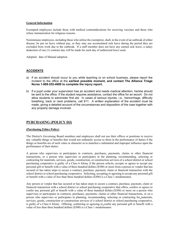#### **General Information**

Exempted employees include those with medical contraindications for receiving vaccines and those who refuse immunization for religious reasons.

Nonimmune employees, including those who utilize the exemption, shall, in the event of an outbreak of either disease, be put on leave without pay, or they may use accumulated sick leave during the period they are excluded from work due to the outbreak. If a staff member does not have any earned sick leave, a salary deduction of one (1) contract day will be made for each day of authorized leave used.

Adopted: date of Manual adoption

#### **ACCIDENTS**

- a) If an accident should occur to you while teaching or on school business, please report the incident to the office at the **earliest possible moment, and contact The Alliance Triage Nurse 1-888-252-4689 to complete the injury report.**
- b) If a pupil under your supervision has an accident and needs medical attention, he/she should be sent to the office. If the student requires assistance, contact the office for an escort. Do not allow students to administer first aid. In cases of serious injuries, i.e., hemorrhage, difficulty breathing, back or neck problems, call 911. A written explanation of the accident must be made, giving a detailed account of the circumstances and disposition of the case together with any property damage involved.

#### **PURCHASING (POLICY DJ)**

#### **(Purchasing Ethics Policy)**

The District's Governing Board members and employees shall not use their offices or positions to receive any valuable things or benefits that would not ordinarily accrue to them in the performance of duties if the things or benefits are of such value or character as to manifest a substantial and improper influence upon the performance of their duties.

A person who supervises or participates in contracts, purchases, payments, claims or other financial transactions, or a person who supervises or participates in the planning, recommending, selecting or contracting for materials, services, goods, construction, or construction services of a school district or school purchasing cooperative is guilty of a Class 6 felony if the person solicits, accepts or agrees to accept any personal gift or benefit with a value of three hundred dollars (\$300) or more from a person or vendor that has secured or has taken steps to secure a contract, purchase, payment, claim or financial transaction with the school district or school purchasing cooperative. Soliciting, accepting or agreeing to accept any personal gift or benefit with a value of less than three hundred dollars (\$300) is a Class 1 misdemeanor.

Any person or vendor that has secured or has taken steps to secure a contract, purchase, payment, claim or financial transaction with a school district or school purchasing cooperative that offers, confers or agrees to confer any personal gift or benefit with a value of three hundred dollars (\$300) or more on a person who supervises or participates in contracts, purchases, payments, claims or other financial transactions, or on a person who supervises or participates in planning, recommending, selecting or contracting for materials, services, goods, construction or construction services of a school district or school purchasing cooperative, is guilty of a Class 6 felony. Offering, conferring or agreeing to confer any personal gift or benefit with a value of less than three hundred dollars (\$300) is a Class 1 misdemeanor.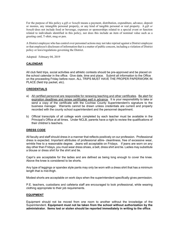For the purpose of this policy a *gift or benefit* means a payment, distribution, expenditure, advance, deposit or monies, any intangible personal property, or any kind of tangible personal or real property. A *gift or benefit* does not include food or beverage, expenses or sponsorships related to a special event or function related to individuals identified in this policy, nor does this include an item of nominal value such as a greeting card, T-shirt, mug or pen.

A District employee who has control over personnel actions may not take reprisal against a District employee or that employee's disclosure of information that is a matter of public concern, including a violation of District policy or laws/regulations governing the District.

Adopted: February 04, 2019

#### **CALENDAR**

All club field trips, social activities and athletic contests should be pre-approved and be placed on the school calendar in the office. Give date, time and place. Submit all information to the Office on the proceeding Friday before noon. ALL TRIPS MUST HAVE THE PROPER PAPERWORK IN PLACE (field trip packet, etc).

#### **CREDENTIALS**

- a) All certified personnel are responsible for renewing teaching and other certificates. Be alert for expiration deadlines and renew certificates well in advance. It is your responsibility to take or send a copy of the certificate with the Cochise County Superintendent's signature to the business manager. Warrants cannot be drawn unless credentials are current and properly recorded with the county school superintendent and the personnel department.
- b) Official transcripts of all college work completed by each teacher must be available in the Principal's Office at all times. Under NCLB, parents have a right to review the qualifications of their children's teachers.

#### **DRESS CODE**

All faculty and staff should dress in a manner that reflects positively on our profession. Professional dress is expected. Important attributes of professional attire- cleanliness, free of excessive wear, wrinkle free to a reasonable degree. Jeans will acceptable on Fridays. If jeans are worn on any day other than Fridays, you must wear dress shoes, a belt, dress shirt and tie. Ladies may substitute a blouse or dress shirt for the shirt and tie.

Capri's are acceptable for the ladies and are defined as being long enough to cover the knee. Above the knee is considered to be shorts.

Any type of leggings or spandex style pants may only be worn with a dress shirt that has a minimum length that is mid-thigh.

Modest shorts are acceptable on work days when the superintendent specifically gives permission.

P.E. teachers, custodians and cafeteria staff are encouraged to look professional, while wearing clothing appropriate to their job requirements.

#### **EQUIPMENT**

Equipment should not be moved from one room to another without the knowledge of the Superintendent. **Equipment must not be taken from the school without authorization by the administrator. Items lost or stolen should be reported immediately in writing to the office**.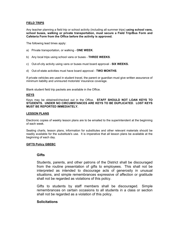#### **FIELD TRIPS**

Any teacher planning a field trip or school activity (including all summer trips) **using school vans, school buses, walking or private transportation, must secure a Field Trip/Bus Form and Cafeteria Form from the Office before the activity is approved.**

The following lead times apply:

- a) Private transportation, or walking **ONE WEEK**.
- b) Any local trips using school vans or buses **THREE WEEKS**.
- c) Out-of-city activity using vans or buses must board approval **SIX WEEKS.**
- d) Out-of-state activities must have board approval **TWO MONTHS**.

If private vehicles are used in student travel, the parent or guardian must give written assurance of minimum liability and uninsured motorists' insurance coverage.

Blank student field trip packets are available in the Office.

#### **KEYS**

Keys may be obtained/checked out in the Office. **STAFF SHOULD NOT LOAN KEYS TO STUDENTS. UNDER NO CIRCUMSTANCES ARE KEYS TO BE DUPLICATED**. **LOST KEYS MUST BE REPORTED IMMEDIATELY.**

#### **LESSON PLANS**

Electronic copies of weekly lesson plans are to be emailed to the superintendent at the beginning of each week.

Seating charts, lesson plans, information for substitutes and other relevant materials should be readily available for the substitute's use. It is imperative that all lesson plans be available at the beginning of each day.

#### **GIFTS Policy GBEBC**

#### **Gifts**

Students, parents, and other patrons of the District shall be discouraged from the routine presentation of gifts to employees. This shall not be interpreted as intended to discourage acts of generosity in unusual situations, and simple remembrances expressive of affection or gratitude shall not be regarded as violations of this policy.

Gifts to students by staff members shall be discouraged. Simple remembrances on certain occasions to all students in a class or section shall not be regarded as a violation of this policy.

#### **Solicitations**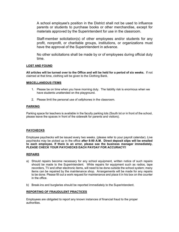A school employee's position in the District shall not be used to influence parents or students to purchase books or other merchandise, except for materials approved by the Superintendent for use in the classroom.

Staff-member solicitation(s) of other employees and/or students for any profit, nonprofit, or charitable groups, institutions, or organizations must have the approval of the Superintendent in advance.

No other solicitations shall be made by or of employees during official duty time.

#### **LOST AND FOUND**

**All articles will be turned over to the Office and will be held for a period of six weeks.** If not claimed at that time, clothing will be given to the Clothing Bank.

#### **MISCELLANEOUS ITEMS**

- 1. Please be on time when you have morning duty. The liability risk is enormous when we have students unattended on the playground.
- 2. Please limit the personal use of cellphones in the classroom.

#### **PARKING**

Parking space for teachers is available in the faculty parking lots (South lot or in front of the school, please leave the spaces in front of the sidewalk for parents and visitors).

#### **PAYCHECKS**

Employee paychecks will be issued every two weeks. (please refer to your payroll calendar). Live paychecks may be picked up in the office **after 8:00 A.M. Direct deposit slips will be emailed to each employee. If there is an error, please see the business manager immediately. PLEASE CHECK YOUR PAYCHECKS EACH PAYDAY FOR ACCURACY!!**

#### **REPAIRS**

- a) Should repairs become necessary for any school equipment, written notice of such repairs should be made to the Superintendent. While repairs for equipment such as radios, tape recorders, TV and other electronic items, will need to be done outside the school system; many items can be repaired by the maintenance shop. Arrangements will be made for any repairs to be done. Please fill out a work request for maintenance and place it in his box on the counter in the office.
- b) Break-ins and burglaries should be reported immediately to the Superintendent.

#### **REPORTING OF FRAUDULENT PRACTICES**

Employees are obligated to report any known instances of financial fraud to the proper authorities.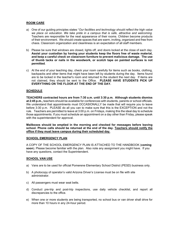#### **ROOM CARE**

- a) One of our guiding principles states "*Our facilities and technology should reflect the high value we place on education. We take pride in a campus that is safe, attractive and welcoming.* Teachers are responsible for the neat appearance of their rooms. Children become products of their environment. We should create spaces that are warm, inviting, organized and free from chaos. Classroom organization and cleanliness is an expectation of all staff members.
- b) Please be sure that windows are closed, lights off, and doors locked at the close of each day. **Assist your custodian by having your students keep the floors free of waste material, and keep a careful check on classroom furniture to prevent malicious damage. The use of thumb tacks or nails in the woodwork, or scotch tape on painted surfaces is not permitted**.
- c) At the end of your teaching day, check your room carefully for items such as books, clothing, backpacks and other items that might have been left by students during the day. Items found are to be locked in the teacher's room and returned to the student the next day. If items are not claimed, they should be sent to the Office. **PLEASE HAVE STUDENTS PICK UP EVERYTHING ON THE FLOOR AT THE END OF THE DAY.**

#### **SCHEDULE**

**TEACHERS contracted hours are from 7:30 a.m. until 3:30 p.m. Although students dismiss at 2:45 p.m.,** teachers should be available for conferences with students, parents or school officials. We understand that appointments must OCCASIONALLY be made that will require you to leave before 3:30 p.m. PLEASE do all you can to make sure that this is the EXCEPTION and not the rule. Teachers are permitted to leave at 3:00 p.m. on Fridays, making this the ideal day to schedule those appointments. If you must schedule an appointment on a day other than Friday, please speak with the superintendent for approval.

**Mailboxes should be emptied in the morning and checked for messages before leaving school. Phone calls should be returned at the end of the day. Teachers should notify the office if they must leave campus during their scheduled day.** 

#### **SCHOOL EMERGENCY PLAN**

A COPY OF THE SCHOOL EMERGENCY PLAN IS ATTACHED TO THE HANDBOOK (**coming soon**). Please become familiar with the plan. Also note any assignment you might have. If you have any questions, contact the Superintendent.

#### **SCHOOL VAN USE**

- a) Vans are to be used for official Pomerene Elementary School District (PESD) business only.
- b) A photocopy of operator's valid Arizona Driver's License must be on file with site administrator.
- c) All passengers must wear seat belts.
- d) Conduct pre-trip and post-trip inspections, use daily vehicle checklist, and report all discrepancies to the office.
- e) When one or more students are being transported, no school bus or van driver shall drive for more than 10 hours in any 24-hour period.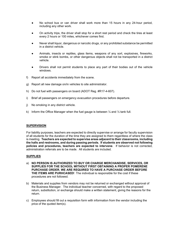- No school bus or van driver shall work more than 15 hours in any 24-hour period, including any other work.
- On activity trips, the driver shall stop for a short rest period and check the tires at least every 2 hours or 100 miles, whichever comes first.
- Never shall liquor, dangerous or narcotic drugs, or any prohibited substance be permitted in a district vehicle.
- Animals, insects or reptiles, glass items, weapons of any sort, explosives, fireworks, smoke or stink bombs, or other dangerous objects shall not be transported in a district vehicle.
- Drivers shall not permit students to place any part of their bodies out of the vehicle windows.
- f) Report all accidents immediately from the scene.
- g) Report all new damage on/in vehicles to site administrator.
- h) Do not fuel with passengers on board (ADOT Reg. #R17-4-607).
- i) Brief all passengers on emergency evacuation procedures before departure.
- j) No smoking in any district vehicle.
- k) Inform the Office Manager when the fuel gauge is between  $\frac{1}{4}$  and  $\frac{1}{2}$  tank full.

#### **SUPERVISION**

For liability purposes, teachers are expected to directly supervise or arrange for faculty supervision of all students for the duration of the time they are assigned to them regardless of where the class is meeting. **Teachers are expected to supervise areas adjacent to their classrooms, including the halls and restrooms, and during passing periods. If students are observed not following policies and procedures, teachers are expected to intervene**. If behavior is not corrected, administration referrals are to be made. All students are included.

#### **SUPPLIES**

- a) **NO PERSON IS AUTHORIZED TO BUY OR CHARGE MERCHANDISE, SERVICES, OR SUPPLIES FOR THE SCHOOL WITHOUT FIRST OBTAINING A PROPER POMERENE PURCHASE ORDER. WE ARE REQUIRED TO HAVE A PURCHASE ORDER BEFORE THE ITEMS ARE PURHCASED!** The individual is responsible for the cost if these procedures are not followed.
- b) Materials and supplies from vendors may not be returned or exchanged without approval of the Business Manager. The individual teacher concerned, with regard to the proposed return, substitution, or exchange should make a written statement, giving the reasons for the return.
- c) Employees should fill out a requisition form with information from the vendor including the price of the quoted item(s).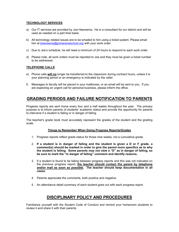#### **TECHNOLOGY SERVICES**

- a) Our IT services are provided by Joe Heersema. He is a consultant for our district and will be used as needed on a part time basis.
- b) All technology related issues are to be emailed to him using a ticket system. Please email him at *iheersema@pomereneschool.org* with your work order.
- c) Due to Joe's schedule, he will need a minimum of 24 hours to respond to each work order.
- d) Please note, all work orders must be reported to Joe and they must be given a ticket number to be addressed.

#### **TELEPHONE CALLS**

- e) Phone calls **will no** longer be transferred to the classroom during contract hours, unless it is your planning period or an emergency is indicated by the caller.
- f) Messages to faculty will be placed in your mailboxes, or an email will be sent to you. If you are expecting an urgent call for personal business, please inform the office.

## **GRADING PERIODS AND FAILURE NOTIFICATION TO PARENTS**

Progress reports are sent home every four and a half weeks throughout the year. The primary purpose is to inform parents of students' academic status and provide the opportunity for parents to intervene if a student is failing or in danger of failing.

The teacher's grade book must accurately represent the grades of the student and the grading scale.

#### **Things to Remember When Doing Progress Reports/Grades**

- 1. Progress reports reflect grade status for those nine weeks, not a cumulative grade.
- 2. **If a student is in danger of failing and the student is given a D or F grade, a comment(s) should be marked in order to give the parent more specifics as to why the student is failing. Some parents may not view a "D" as in danger of failing, so be sure to mark the "in danger of failing" comment and identify reasons.**
- 3. If a student is found to be failing between progress reports and this was not indicated on the previous progress report, **the teacher should contact the parent by telephone and/or mail as soon as possible. The teacher should keep documentation in all cases.**
- 4. Parents appreciate the comments, both positive and negative.
- 5. An attendance detail summary of each student goes out with each progress report.

## **DISCIPLINARY POLICY AND PROCEDURES**

Familiarize yourself with the Student Code of Conduct and remind your homeroom students to review it and share it with their parents.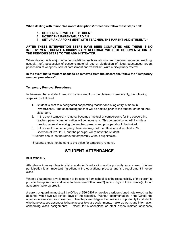**When dealing with minor classroom disruptions/infractions follow these steps first:**

- 1. **CONFERENCE WITH THE STUDENT**
- 2. **NOTIFY THE PARENT/GUARDIAN**
- 3. **SET UP AN APPOINTMENT WITH TEACHER, THE PARENT AND STUDENT. \***

#### **AFTER THESE INTERVENTION STEPS HAVE BEEN COMPLETED AND THERE IS NO IMPROVEMENT, SUBMIT A DISCIPLINARY REFERRAL WITH THE DOCUMENTATION OF THE PREVIOUS STEPS TO THE ADMINISTRATOR.**

When dealing with major infraction/violations such as abusive and profane language, smoking, assault, theft, possession of obscene material, use or distribution of illegal substances, arson, possession of weapons, sexual harassment and vandalism, write a disciplinary referral.

#### **In the event that a student needs to be removed from the classroom, follow the "Temporary removal procedures".**

#### **Temporary Removal Procedures**

In the event that a student needs to be removed from the classroom temporarily, the following steps will be followed:

- 1. Student is sent to a designated cooperating teacher and a log entry is made in PowerSchool. The cooperating teacher will be notified prior to the student entering their classroom.
- 2. In the event temporary removal becomes habitual or cumbersome for the cooperating teacher, parent communication will be necessary. This communication will include a meeting request involving the teacher, parents and principal should be invited.
- 3. In the event of an emergency, teachers may call the office, or a direct text to Mr. Sherman at 221-1100, and the principal will remove the student.

\*Students should not be removed temporarily without supervision.

\*Students should not be sent to the office for temporary removal.

## **STUDENT ATTENDANCE**

#### **PHILOSOPHY**

Attendance in every class is vital to a student's education and opportunity for success. Student participation is an important ingredient in the educational process and is a requirement in every class.

When a student has a valid reason to be absent from school, it is the responsibility of the parent to provide the appropriate and acceptable excuse within **two (2)** school days of the absence(s) for an academic make-up credit.

A parent or guardian must call the Office at 586-2407 or provide a written signed note excusing the absence within two (2) school days of the absence. Without documentation in the Office, the absence is classified as unexcused. Teachers are obligated to create an opportunity for students who have excused absences to have access to class assignments, make-up work, and information concerning class assignments. Except for suspensions or other school-initiated absences,